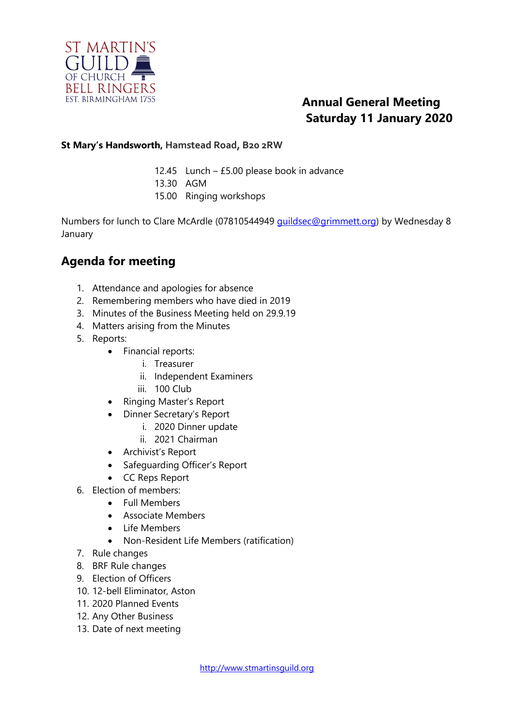

## **Annual General Meeting Saturday 11 January 2020**

#### **St Mary's Handsworth, Hamstead Road, B20 2RW**

- 12.45 Lunch £5.00 please book in advance
- 13.30 AGM
- 15.00 Ringing workshops

Numbers for lunch to Clare McArdle (07810544949 [guildsec@grimmett.org\)](mailto:guildsec@grimmet.org) by Wednesday 8 January

### **Agenda for meeting**

- 1. Attendance and apologies for absence
- 2. Remembering members who have died in 2019
- 3. Minutes of the Business Meeting held on 29.9.19
- 4. Matters arising from the Minutes
- 5. Reports:
	- Financial reports:
		- i. Treasurer
		- ii. Independent Examiners
		- iii. 100 Club
	- Ringing Master's Report
	- Dinner Secretary's Report
		- i. 2020 Dinner update
		- ii. 2021 Chairman
	- Archivist's Report
	- Safeguarding Officer's Report
	- CC Reps Report
- 6. Election of members:
	- Full Members
	- Associate Members
	- Life Members
	- Non-Resident Life Members (ratification)
- 7. Rule changes
- 8. BRF Rule changes
- 9. Election of Officers
- 10. 12-bell Eliminator, Aston
- 11. 2020 Planned Events
- 12. Any Other Business
- 13. Date of next meeting